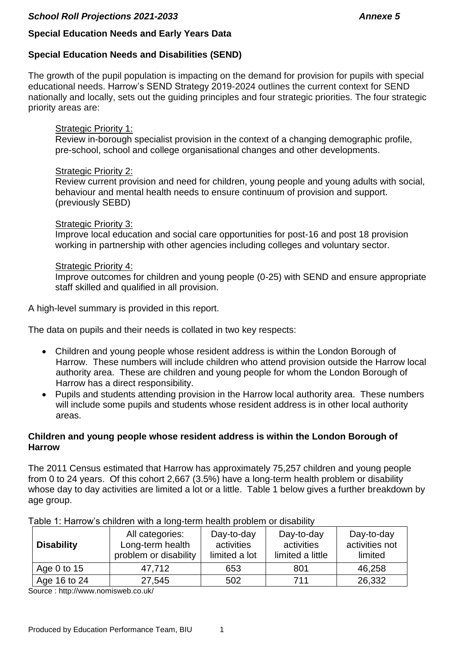# **Special Education Needs and Early Years Data**

# **Special Education Needs and Disabilities (SEND)**

The growth of the pupil population is impacting on the demand for provision for pupils with special educational needs. Harrow's SEND Strategy 2019-2024 outlines the current context for SEND nationally and locally, sets out the guiding principles and four strategic priorities. The four strategic priority areas are:

#### Strategic Priority 1:

Review in-borough specialist provision in the context of a changing demographic profile, pre-school, school and college organisational changes and other developments.

## Strategic Priority 2:

Review current provision and need for children, young people and young adults with social, behaviour and mental health needs to ensure continuum of provision and support. (previously SEBD)

#### Strategic Priority 3:

Improve local education and social care opportunities for post-16 and post 18 provision working in partnership with other agencies including colleges and voluntary sector.

#### Strategic Priority 4:

Improve outcomes for children and young people (0-25) with SEND and ensure appropriate staff skilled and qualified in all provision.

A high-level summary is provided in this report.

The data on pupils and their needs is collated in two key respects:

- Children and young people whose resident address is within the London Borough of Harrow. These numbers will include children who attend provision outside the Harrow local authority area. These are children and young people for whom the London Borough of Harrow has a direct responsibility.
- Pupils and students attending provision in the Harrow local authority area. These numbers will include some pupils and students whose resident address is in other local authority areas.

## **Children and young people whose resident address is within the London Borough of Harrow**

The 2011 Census estimated that Harrow has approximately 75,257 children and young people from 0 to 24 years. Of this cohort 2,667 (3.5%) have a long-term health problem or disability whose day to day activities are limited a lot or a little. Table 1 below gives a further breakdown by age group.

| <b>Disability</b> | All categories:<br>Long-term health<br>problem or disability | Day-to-day<br>activities<br>limited a lot | Day-to-day<br>activities<br>limited a little | Day-to-day<br>activities not<br>limited |  |  |  |
|-------------------|--------------------------------------------------------------|-------------------------------------------|----------------------------------------------|-----------------------------------------|--|--|--|
| Age 0 to $15$     | 47,712                                                       | 653                                       | 801                                          | 46,258                                  |  |  |  |
| Age 16 to 24      | 27,545                                                       | 502                                       | 711                                          | 26,332                                  |  |  |  |

Table 1: Harrow's children with a long-term health problem or disability

Source : http://www.nomisweb.co.uk/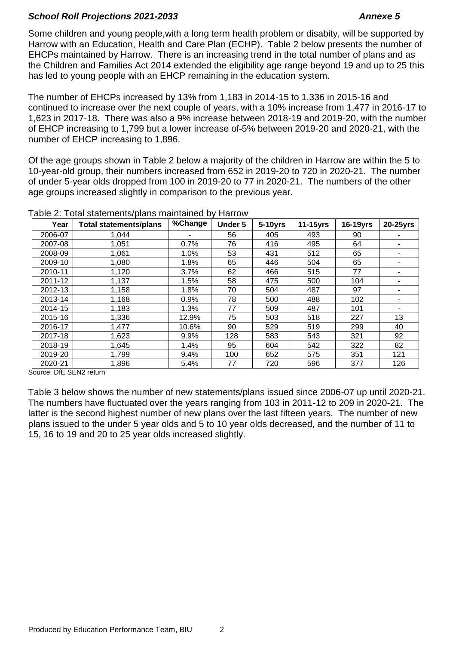Some children and young people,with a long term health problem or disabity, will be supported by Harrow with an Education, Health and Care Plan (ECHP). Table 2 below presents the number of EHCPs maintained by Harrow. There is an increasing trend in the total number of plans and as the Children and Families Act 2014 extended the eligibility age range beyond 19 and up to 25 this has led to young people with an EHCP remaining in the education system.

The number of EHCPs increased by 13% from 1,183 in 2014-15 to 1,336 in 2015-16 and continued to increase over the next couple of years, with a 10% increase from 1,477 in 2016-17 to 1,623 in 2017-18. There was also a 9% increase between 2018-19 and 2019-20, with the number of EHCP increasing to 1,799 but a lower increase of 5% between 2019-20 and 2020-21, with the number of EHCP increasing to 1,896.

Of the age groups shown in Table 2 below a majority of the children in Harrow are within the 5 to 10-year-old group, their numbers increased from 652 in 2019-20 to 720 in 2020-21. The number of under 5-year olds dropped from 100 in 2019-20 to 77 in 2020-21. The numbers of the other age groups increased slightly in comparison to the previous year.

| Year    | Total statements/plans | %Change | Under 5 | 5-10yrs | $11-15$ yrs | 16-19yrs | 20-25yrs |
|---------|------------------------|---------|---------|---------|-------------|----------|----------|
| 2006-07 | 1,044                  | ۰       | 56      | 405     | 493         | 90       |          |
| 2007-08 | 1,051                  | 0.7%    | 76      | 416     | 495         | 64       |          |
| 2008-09 | 1,061                  | 1.0%    | 53      | 431     | 512         | 65       |          |
| 2009-10 | 1,080                  | 1.8%    | 65      | 446     | 504         | 65       |          |
| 2010-11 | 1,120                  | $3.7\%$ | 62      | 466     | 515         | 77       |          |
| 2011-12 | 1,137                  | 1.5%    | 58      | 475     | 500         | 104      |          |
| 2012-13 | 1,158                  | 1.8%    | 70      | 504     | 487         | 97       |          |
| 2013-14 | 1,168                  | 0.9%    | 78      | 500     | 488         | 102      |          |
| 2014-15 | 1,183                  | 1.3%    | 77      | 509     | 487         | 101      |          |
| 2015-16 | 1,336                  | 12.9%   | 75      | 503     | 518         | 227      | 13       |
| 2016-17 | 1,477                  | 10.6%   | 90      | 529     | 519         | 299      | 40       |
| 2017-18 | 1,623                  | 9.9%    | 128     | 583     | 543         | 321      | 92       |
| 2018-19 | 1,645                  | 1.4%    | 95      | 604     | 542         | 322      | 82       |
| 2019-20 | 1,799                  | 9.4%    | 100     | 652     | 575         | 351      | 121      |
| 2020-21 | 1,896                  | 5.4%    | 77      | 720     | 596         | 377      | 126      |

Table 2: Total statements/plans maintained by Harrow

Source: DfE SEN2 return

Table 3 below shows the number of new statements/plans issued since 2006-07 up until 2020-21. The numbers have fluctuated over the years ranging from 103 in 2011-12 to 209 in 2020-21. The latter is the second highest number of new plans over the last fifteen years. The number of new plans issued to the under 5 year olds and 5 to 10 year olds decreased, and the number of 11 to 15, 16 to 19 and 20 to 25 year olds increased slightly.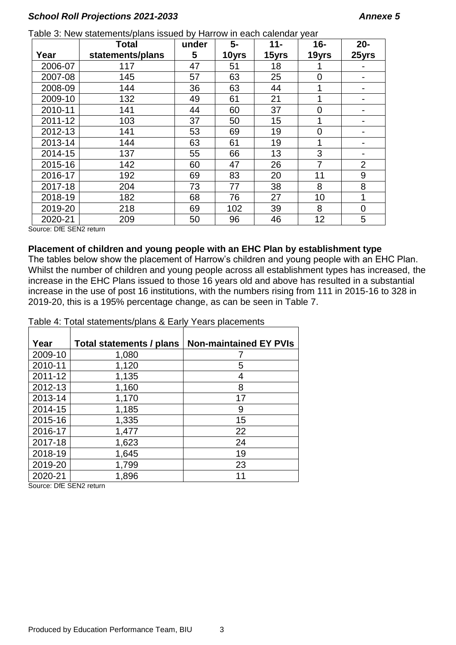|         | <b>Total</b>     | under | 5-    | $11 -$ | $16 -$         | $20 -$         |
|---------|------------------|-------|-------|--------|----------------|----------------|
| Year    | statements/plans | 5     | 10yrs | 15yrs  | 19yrs          | 25yrs          |
| 2006-07 | 117              | 47    | 51    | 18     |                |                |
| 2007-08 | 145              | 57    | 63    | 25     | 0              |                |
| 2008-09 | 144              | 36    | 63    | 44     | 1              |                |
| 2009-10 | 132              | 49    | 61    | 21     | 1              |                |
| 2010-11 | 141              | 44    | 60    | 37     | 0              |                |
| 2011-12 | 103              | 37    | 50    | 15     |                |                |
| 2012-13 | 141              | 53    | 69    | 19     | $\overline{0}$ |                |
| 2013-14 | 144              | 63    | 61    | 19     | 1              |                |
| 2014-15 | 137              | 55    | 66    | 13     | 3              |                |
| 2015-16 | 142              | 60    | 47    | 26     | 7              | $\overline{2}$ |
| 2016-17 | 192              | 69    | 83    | 20     | 11             | 9              |
| 2017-18 | 204              | 73    | 77    | 38     | 8              | 8              |
| 2018-19 | 182              | 68    | 76    | 27     | 10             | 1              |
| 2019-20 | 218              | 69    | 102   | 39     | 8              | $\overline{0}$ |
| 2020-21 | 209              | 50    | 96    | 46     | 12             | 5              |

Table 3: New statements/plans issued by Harrow in each calendar year

Source: DfE SEN2 return

#### **Placement of children and young people with an EHC Plan by establishment type**

The tables below show the placement of Harrow's children and young people with an EHC Plan. Whilst the number of children and young people across all establishment types has increased, the increase in the EHC Plans issued to those 16 years old and above has resulted in a substantial increase in the use of post 16 institutions, with the numbers rising from 111 in 2015-16 to 328 in 2019-20, this is a 195% percentage change, as can be seen in Table 7.

Table 4: Total statements/plans & Early Years placements

| Year    | Total statements / plans | <b>Non-maintained EY PVIs</b> |
|---------|--------------------------|-------------------------------|
| 2009-10 | 1,080                    |                               |
| 2010-11 | 1,120                    | 5                             |
| 2011-12 | 1,135                    | 4                             |
| 2012-13 | 1,160                    | 8                             |
| 2013-14 | 1,170                    | 17                            |
| 2014-15 | 1,185                    | 9                             |
| 2015-16 | 1,335                    | 15                            |
| 2016-17 | 1,477                    | 22                            |
| 2017-18 | 1,623                    | 24                            |
| 2018-19 | 1,645                    | 19                            |
| 2019-20 | 1,799                    | 23                            |
| 2020-21 | 1,896                    | 11                            |

Source: DfE SEN2 return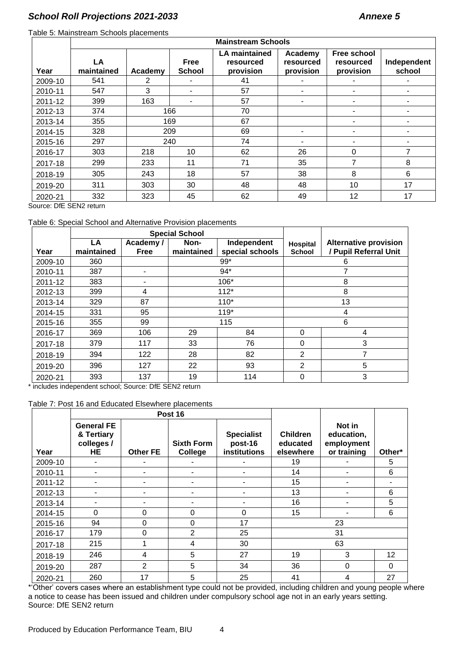#### Table 5: Mainstream Schools placements

|         | <b>Mainstream Schools</b> |                |                       |                                                |                                   |                                              |                       |
|---------|---------------------------|----------------|-----------------------|------------------------------------------------|-----------------------------------|----------------------------------------------|-----------------------|
| Year    | LA<br>maintained          | Academy        | Free<br><b>School</b> | <b>LA maintained</b><br>resourced<br>provision | Academy<br>resourced<br>provision | <b>Free school</b><br>resourced<br>provision | Independent<br>school |
| 2009-10 | 541                       | $\overline{2}$ |                       | 41                                             |                                   |                                              |                       |
| 2010-11 | 547                       | 3              |                       | 57                                             |                                   |                                              |                       |
| 2011-12 | 399                       | 163            |                       | 57                                             |                                   |                                              |                       |
| 2012-13 | 374                       |                | 166                   | 70                                             |                                   |                                              |                       |
| 2013-14 | 355                       |                | 169                   | 67                                             |                                   |                                              |                       |
| 2014-15 | 328                       |                | 209                   | 69                                             |                                   |                                              |                       |
| 2015-16 | 297                       |                | 240                   | 74                                             | ۰                                 |                                              |                       |
| 2016-17 | 303                       | 218            | 10 <sup>1</sup>       | 62                                             | 26                                | $\Omega$                                     | 7                     |
| 2017-18 | 299                       | 233            | 11                    | 71                                             | 35                                | 7                                            | 8                     |
| 2018-19 | 305                       | 243            | 18                    | 57                                             | 38                                | 8                                            | 6                     |
| 2019-20 | 311                       | 303            | 30                    | 48                                             | 48                                | 10                                           | 17                    |
| 2020-21 | 332                       | 323            | 45                    | 62                                             | 49                                | 12                                           | 17                    |

Source: DfE SEN2 return

#### Table 6: Special School and Alternative Provision placements

|         | <b>Special School</b> |                         |                    |                                |                           |                                                       |
|---------|-----------------------|-------------------------|--------------------|--------------------------------|---------------------------|-------------------------------------------------------|
| Year    | LA<br>maintained      | Academy/<br><b>Free</b> | Non-<br>maintained | Independent<br>special schools | Hospital<br><b>School</b> | <b>Alternative provision</b><br>/ Pupil Referral Unit |
| 2009-10 | 360                   |                         |                    | $99*$                          |                           | 6                                                     |
| 2010-11 | 387                   | $\blacksquare$          |                    | $94*$                          |                           |                                                       |
| 2011-12 | 383                   | ۰                       |                    | 106*                           |                           | 8                                                     |
| 2012-13 | 399                   | 4                       |                    | $112*$                         |                           | 8                                                     |
| 2013-14 | 329                   | 87                      |                    | $110*$                         |                           | 13                                                    |
| 2014-15 | 331                   | 95                      |                    | $119*$                         |                           | 4                                                     |
| 2015-16 | 355                   | 99                      |                    | 115                            |                           | 6                                                     |
| 2016-17 | 369                   | 106                     | 29                 | 84                             | 0                         | 4                                                     |
| 2017-18 | 379                   | 117                     | 33                 | 76                             | 0                         | 3                                                     |
| 2018-19 | 394                   | 122                     | 28                 | 82                             | 2                         | 7                                                     |
| 2019-20 | 396                   | 127                     | 22                 | 93                             | 2                         | 5                                                     |
| 2020-21 | 393                   | 137                     | 19                 | 114                            | 0                         | 3                                                     |

\* includes independent school; Source: DfE SEN2 return

#### Table 7: Post 16 and Educated Elsewhere placements

|         |                                                     |                 | Post 16                      |                                              |                                          |                                                   |                 |
|---------|-----------------------------------------------------|-----------------|------------------------------|----------------------------------------------|------------------------------------------|---------------------------------------------------|-----------------|
| Year    | <b>General FE</b><br>& Tertiary<br>colleges /<br>HE | <b>Other FE</b> | <b>Sixth Form</b><br>College | <b>Specialist</b><br>post-16<br>institutions | <b>Children</b><br>educated<br>elsewhere | Not in<br>education,<br>employment<br>or training | Other*          |
| 2009-10 | ٠                                                   | ۰               |                              |                                              | 19                                       |                                                   | 5               |
| 2010-11 | ٠.                                                  | ۰               |                              |                                              | 14                                       |                                                   | 6               |
| 2011-12 |                                                     | ۰               |                              |                                              | 15                                       |                                                   |                 |
| 2012-13 |                                                     | ۰               |                              |                                              | 13                                       |                                                   | 6               |
| 2013-14 |                                                     |                 |                              |                                              | 16                                       |                                                   | 5               |
| 2014-15 | $\Omega$                                            | 0               | $\Omega$                     | $\Omega$                                     | 15                                       |                                                   | 6               |
| 2015-16 | 94                                                  | 0               | 0                            | 17                                           |                                          | 23                                                |                 |
| 2016-17 | 179                                                 | 0               | $\overline{2}$               | 25                                           | 31                                       |                                                   |                 |
| 2017-18 | 215                                                 |                 | 4                            | 30                                           |                                          | 63                                                |                 |
| 2018-19 | 246                                                 | 4               | 5                            | 27                                           | 19                                       | 3                                                 | 12 <sub>2</sub> |
| 2019-20 | 287                                                 | 2               | 5                            | 34                                           | 36                                       | $\Omega$                                          | 0               |
| 2020-21 | 260                                                 | 17              | 5                            | 25                                           | 41                                       | 4                                                 | 27              |

\*'Other' covers cases where an establishment type could not be provided, including children and young people where a notice to cease has been issued and children under compulsory school age not in an early years setting. Source: DfE SEN2 return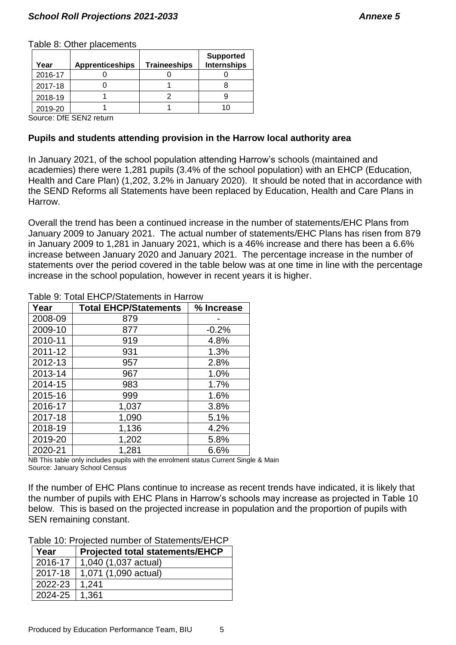#### Table 8: Other placements

| Year    | <b>Apprenticeships</b>                                                          | <b>Traineeships</b> | <b>Supported</b><br><b>Internships</b> |
|---------|---------------------------------------------------------------------------------|---------------------|----------------------------------------|
| 2016-17 |                                                                                 |                     |                                        |
| 2017-18 |                                                                                 |                     |                                        |
| 2018-19 |                                                                                 |                     |                                        |
| 2019-20 |                                                                                 |                     | 10                                     |
|         | $P_{\text{AllTOM}}$ $\bigcap_{i=1}^{n}$ $P_{\text{fullT}}$ $P_{\text{fullTOM}}$ |                     |                                        |

Source: DfE SEN2 return

# **Pupils and students attending provision in the Harrow local authority area**

In January 2021, of the school population attending Harrow's schools (maintained and academies) there were 1,281 pupils (3.4% of the school population) with an EHCP (Education, Health and Care Plan) (1,202, 3.2% in January 2020). It should be noted that in accordance with the SEND Reforms all Statements have been replaced by Education, Health and Care Plans in Harrow.

Overall the trend has been a continued increase in the number of statements/EHC Plans from January 2009 to January 2021. The actual number of statements/EHC Plans has risen from 879 in January 2009 to 1,281 in January 2021, which is a 46% increase and there has been a 6.6% increase between January 2020 and January 2021. The percentage increase in the number of statements over the period covered in the table below was at one time in line with the percentage increase in the school population, however in recent years it is higher.

| Year    | <b>Total EHCP/Statements</b> | % Increase |
|---------|------------------------------|------------|
| 2008-09 | 879                          |            |
| 2009-10 | 877                          | $-0.2%$    |
| 2010-11 | 919                          | 4.8%       |
| 2011-12 | 931                          | 1.3%       |
| 2012-13 | 957                          | 2.8%       |
| 2013-14 | 967                          | 1.0%       |
| 2014-15 | 983                          | 1.7%       |
| 2015-16 | 999                          | 1.6%       |
| 2016-17 | 1,037                        | 3.8%       |
| 2017-18 | 1,090                        | 5.1%       |
| 2018-19 | 1,136                        | 4.2%       |
| 2019-20 | 1,202                        | 5.8%       |
| 2020-21 | 1,281                        | 6.6%       |

Table 9: Total EHCP/Statements in Harrow

NB This table only includes pupils with the enrolment status Current Single & Main Source: January School Census

If the number of EHC Plans continue to increase as recent trends have indicated, it is likely that the number of pupils with EHC Plans in Harrow's schools may increase as projected in Table 10 below. This is based on the projected increase in population and the proportion of pupils with SEN remaining constant.

Table 10: Projected number of Statements/EHCP

| Year    | <b>Projected total statements/EHCP</b> |
|---------|----------------------------------------|
| 2016-17 | 1,040 (1,037 actual)                   |
| 2017-18 | 1,071 (1,090 actual)                   |
| 2022-23 | 1,241                                  |
| 2024-25 | 1,361                                  |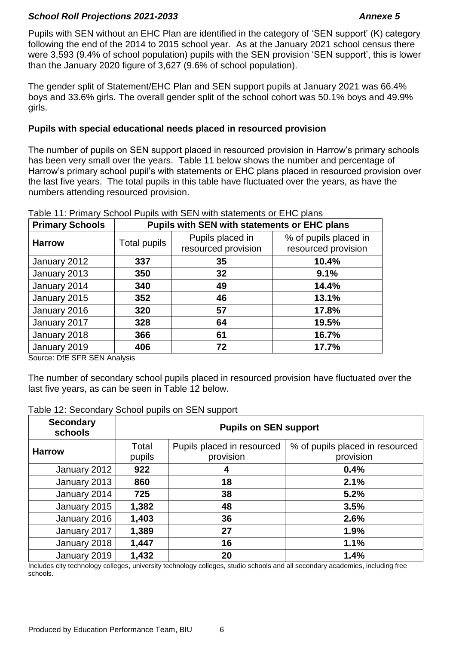Pupils with SEN without an EHC Plan are identified in the category of 'SEN support' (K) category following the end of the 2014 to 2015 school year. As at the January 2021 school census there were 3,593 (9.4% of school population) pupils with the SEN provision 'SEN support', this is lower than the January 2020 figure of 3,627 (9.6% of school population).

The gender split of Statement/EHC Plan and SEN support pupils at January 2021 was 66.4% boys and 33.6% girls. The overall gender split of the school cohort was 50.1% boys and 49.9% girls.

# **Pupils with special educational needs placed in resourced provision**

The number of pupils on SEN support placed in resourced provision in Harrow's primary schools has been very small over the years. Table 11 below shows the number and percentage of Harrow's primary school pupil's with statements or EHC plans placed in resourced provision over the last five years. The total pupils in this table have fluctuated over the years, as have the numbers attending resourced provision.

| <b>Primary Schools</b> | <b>Pupils with SEN with statements or EHC plans</b> |                                         |                                              |  |  |
|------------------------|-----------------------------------------------------|-----------------------------------------|----------------------------------------------|--|--|
| <b>Harrow</b>          | Total pupils                                        | Pupils placed in<br>resourced provision | % of pupils placed in<br>resourced provision |  |  |
| January 2012           | 337                                                 | 35                                      | 10.4%                                        |  |  |
| January 2013           | 350                                                 | 32                                      | 9.1%                                         |  |  |
| January 2014           | 340                                                 | 49                                      | 14.4%                                        |  |  |
| January 2015           | 352                                                 | 46                                      | 13.1%                                        |  |  |
| January 2016           | 320                                                 | 57                                      | 17.8%                                        |  |  |
| January 2017           | 328                                                 | 64                                      | 19.5%                                        |  |  |
| January 2018           | 366                                                 | 61                                      | 16.7%                                        |  |  |
| January 2019           | 406                                                 | 72                                      | 17.7%                                        |  |  |

#### Table 11: Primary School Pupils with SEN with statements or EHC plans

Source: DfE SFR SEN Analysis

The number of secondary school pupils placed in resourced provision have fluctuated over the last five years, as can be seen in Table 12 below.

## Table 12: Secondary School pupils on SEN support

| <b>Secondary</b><br>schools | <b>Pupils on SEN support</b> |                                         |                                              |  |  |
|-----------------------------|------------------------------|-----------------------------------------|----------------------------------------------|--|--|
| <b>Harrow</b>               | Total<br>pupils              | Pupils placed in resourced<br>provision | % of pupils placed in resourced<br>provision |  |  |
| January 2012                | 922                          | 4                                       | 0.4%                                         |  |  |
| January 2013                | 860                          | 18                                      | 2.1%                                         |  |  |
| January 2014                | 725                          | 38                                      | 5.2%                                         |  |  |
| January 2015                | 1,382                        | 48                                      | 3.5%                                         |  |  |
| January 2016                | 1,403                        | 36                                      | 2.6%                                         |  |  |
| January 2017                | 1,389                        | 27                                      | 1.9%                                         |  |  |
| January 2018                | 1,447                        | 16                                      | 1.1%                                         |  |  |
| January 2019                | 1,432                        | 20                                      | 1.4%                                         |  |  |

Includes city technology colleges, university technology colleges, studio schools and all secondary academies, including free schools.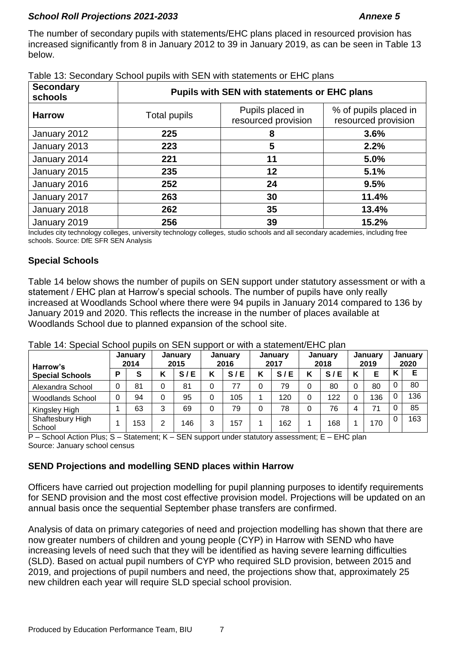The number of secondary pupils with statements/EHC plans placed in resourced provision has increased significantly from 8 in January 2012 to 39 in January 2019, as can be seen in Table 13 below.

| <b>Secondary</b><br>schools | <b>Pupils with SEN with statements or EHC plans</b> |                                         |                                              |  |  |  |
|-----------------------------|-----------------------------------------------------|-----------------------------------------|----------------------------------------------|--|--|--|
| <b>Harrow</b>               | Total pupils                                        | Pupils placed in<br>resourced provision | % of pupils placed in<br>resourced provision |  |  |  |
| January 2012                | 225                                                 | 8                                       | 3.6%                                         |  |  |  |
| January 2013                | 223                                                 | 5                                       | 2.2%                                         |  |  |  |
| January 2014                | 221                                                 | 11                                      | 5.0%                                         |  |  |  |
| January 2015                | 235                                                 | 12                                      | 5.1%                                         |  |  |  |
| January 2016                | 252                                                 | 24                                      | 9.5%                                         |  |  |  |
| January 2017                | 263                                                 | 30                                      | 11.4%                                        |  |  |  |
| January 2018                | 262                                                 | 35                                      | 13.4%                                        |  |  |  |
| January 2019                | 256                                                 | 39                                      | 15.2%                                        |  |  |  |

| Table 13: Secondary School pupils with SEN with statements or EHC plans |
|-------------------------------------------------------------------------|
|-------------------------------------------------------------------------|

Includes city technology colleges, university technology colleges, studio schools and all secondary academies, including free schools. Source: DfE SFR SEN Analysis

# **Special Schools**

Table 14 below shows the number of pupils on SEN support under statutory assessment or with a statement / EHC plan at Harrow's special schools. The number of pupils have only really increased at Woodlands School where there were 94 pupils in January 2014 compared to 136 by January 2019 and 2020. This reflects the increase in the number of places available at Woodlands School due to planned expansion of the school site.

| Harrow's                   |   | January<br>2014 |        | <b>January</b><br>2015 |   | January<br>2016 |   | January<br>2017 |   | <b>January</b><br>2018 |          | January<br>2019 |     | <b>January</b><br>2020 |
|----------------------------|---|-----------------|--------|------------------------|---|-----------------|---|-----------------|---|------------------------|----------|-----------------|-----|------------------------|
| <b>Special Schools</b>     | P | S               | ı<br>n | S/E                    | Κ | S/E             | K | S/E             | Κ | Е<br>S/                | Κ        | F               | . . |                        |
| Alexandra School           | 0 | 81              | 0      | 81                     | 0 |                 |   | 79              | 0 | 80                     | $\Omega$ | 80              | 0   | 80                     |
| <b>Woodlands School</b>    |   | 94              | 0      | 95                     | 0 | 105             |   | 120             | 0 | 122                    |          | 136             |     | 136                    |
| Kingsley High              |   | 63              | 3      | 69                     | 0 | 79              | 0 | 78              | 0 | 76                     | 4        | 71              |     | 85                     |
| Shaftesbury High<br>School |   | 153             | າ      | 146                    | 3 | 157             |   | 162             |   | 168                    |          | 170             | 0   | 163                    |

Table 14: Special School pupils on SEN support or with a statement/EHC plan

P – School Action Plus; S – Statement; K – SEN support under statutory assessment; E – EHC plan Source: January school census

# **SEND Projections and modelling SEND places within Harrow**

Officers have carried out projection modelling for pupil planning purposes to identify requirements for SEND provision and the most cost effective provision model. Projections will be updated on an annual basis once the sequential September phase transfers are confirmed.

Analysis of data on primary categories of need and projection modelling has shown that there are now greater numbers of children and young people (CYP) in Harrow with SEND who have increasing levels of need such that they will be identified as having severe learning difficulties (SLD). Based on actual pupil numbers of CYP who required SLD provision, between 2015 and 2019, and projections of pupil numbers and need, the projections show that, approximately 25 new children each year will require SLD special school provision.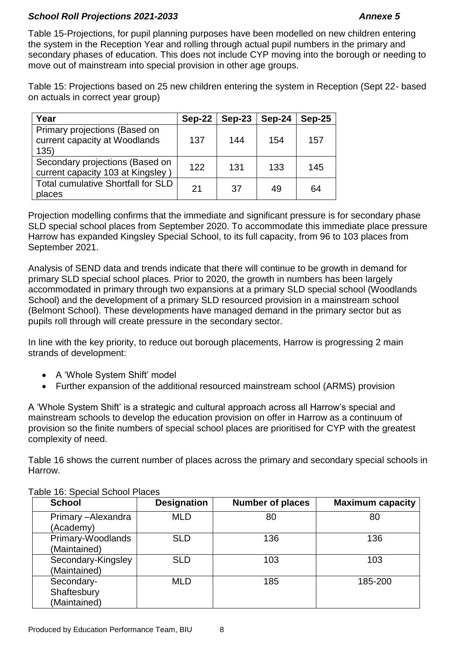Table 15-Projections, for pupil planning purposes have been modelled on new children entering the system in the Reception Year and rolling through actual pupil numbers in the primary and secondary phases of education. This does not include CYP moving into the borough or needing to move out of mainstream into special provision in other age groups.

Table 15: Projections based on 25 new children entering the system in Reception (Sept 22- based on actuals in correct year group)

| Year                                                                   | $Sep-22$ | $Sep-23$ | $Sep-24$ | $Sep-25$ |
|------------------------------------------------------------------------|----------|----------|----------|----------|
| Primary projections (Based on<br>current capacity at Woodlands<br>135) | 137      | 144      | 154      | 157      |
| Secondary projections (Based on<br>current capacity 103 at Kingsley)   | 122      | 131      | 133      | 145      |
| <b>Total cumulative Shortfall for SLD</b><br>places                    | 21       | 37       | 49       | 64       |

Projection modelling confirms that the immediate and significant pressure is for secondary phase SLD special school places from September 2020. To accommodate this immediate place pressure Harrow has expanded Kingsley Special School, to its full capacity, from 96 to 103 places from September 2021.

Analysis of SEND data and trends indicate that there will continue to be growth in demand for primary SLD special school places. Prior to 2020, the growth in numbers has been largely accommodated in primary through two expansions at a primary SLD special school (Woodlands School) and the development of a primary SLD resourced provision in a mainstream school (Belmont School). These developments have managed demand in the primary sector but as pupils roll through will create pressure in the secondary sector.

In line with the key priority, to reduce out borough placements, Harrow is progressing 2 main strands of development:

- A 'Whole System Shift' model
- Further expansion of the additional resourced mainstream school (ARMS) provision

A 'Whole System Shift' is a strategic and cultural approach across all Harrow's special and mainstream schools to develop the education provision on offer in Harrow as a continuum of provision so the finite numbers of special school places are prioritised for CYP with the greatest complexity of need.

Table 16 shows the current number of places across the primary and secondary special schools in Harrow.

| <b>School</b>                             | <b>Designation</b> | <b>Number of places</b> | <b>Maximum capacity</b> |
|-------------------------------------------|--------------------|-------------------------|-------------------------|
| Primary - Alexandra<br>(Academy)          | <b>MLD</b>         | 80                      | 80                      |
| Primary-Woodlands<br>(Maintained)         | <b>SLD</b>         | 136                     | 136                     |
| Secondary-Kingsley<br>(Maintained)        | <b>SLD</b>         | 103                     | 103                     |
| Secondary-<br>Shaftesbury<br>(Maintained) | MLD                | 185                     | 185-200                 |

Table 16: Special School Places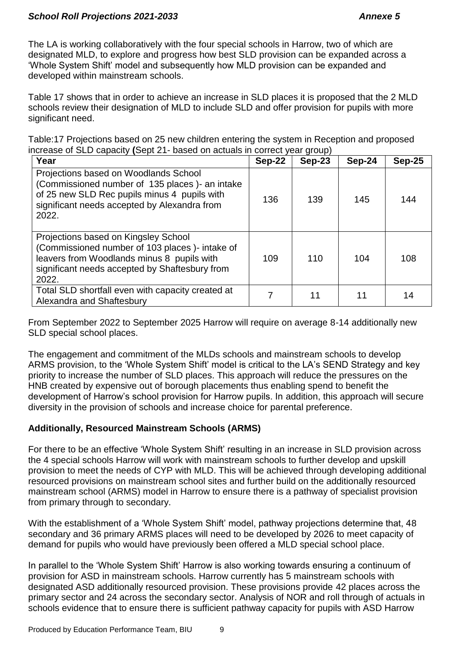The LA is working collaboratively with the four special schools in Harrow, two of which are designated MLD, to explore and progress how best SLD provision can be expanded across a 'Whole System Shift' model and subsequently how MLD provision can be expanded and developed within mainstream schools.

Table 17 shows that in order to achieve an increase in SLD places it is proposed that the 2 MLD schools review their designation of MLD to include SLD and offer provision for pupils with more significant need.

Table:17 Projections based on 25 new children entering the system in Reception and proposed increase of SLD capacity **(**Sept 21- based on actuals in correct year group)

| Year                                                                                                                                                                                              | $Sep-22$ | <b>Sep-23</b> | $Sep-24$ | $Sep-25$ |
|---------------------------------------------------------------------------------------------------------------------------------------------------------------------------------------------------|----------|---------------|----------|----------|
| Projections based on Woodlands School<br>(Commissioned number of 135 places) - an intake<br>of 25 new SLD Rec pupils minus 4 pupils with<br>significant needs accepted by Alexandra from<br>2022. | 136      | 139           | 145      | 144      |
| Projections based on Kingsley School<br>(Commissioned number of 103 places) - intake of<br>leavers from Woodlands minus 8 pupils with<br>significant needs accepted by Shaftesbury from<br>2022.  | 109      | 110           | 104      | 108      |
| Total SLD shortfall even with capacity created at<br>Alexandra and Shaftesbury                                                                                                                    | 7        | 11            | 11       | 14       |

From September 2022 to September 2025 Harrow will require on average 8-14 additionally new SLD special school places.

The engagement and commitment of the MLDs schools and mainstream schools to develop ARMS provision, to the 'Whole System Shift' model is critical to the LA's SEND Strategy and key priority to increase the number of SLD places. This approach will reduce the pressures on the HNB created by expensive out of borough placements thus enabling spend to benefit the development of Harrow's school provision for Harrow pupils. In addition, this approach will secure diversity in the provision of schools and increase choice for parental preference.

# **Additionally, Resourced Mainstream Schools (ARMS)**

For there to be an effective 'Whole System Shift' resulting in an increase in SLD provision across the 4 special schools Harrow will work with mainstream schools to further develop and upskill provision to meet the needs of CYP with MLD. This will be achieved through developing additional resourced provisions on mainstream school sites and further build on the additionally resourced mainstream school (ARMS) model in Harrow to ensure there is a pathway of specialist provision from primary through to secondary.

With the establishment of a 'Whole System Shift' model, pathway projections determine that, 48 secondary and 36 primary ARMS places will need to be developed by 2026 to meet capacity of demand for pupils who would have previously been offered a MLD special school place.

In parallel to the 'Whole System Shift' Harrow is also working towards ensuring a continuum of provision for ASD in mainstream schools. Harrow currently has 5 mainstream schools with designated ASD additionally resourced provision. These provisions provide 42 places across the primary sector and 24 across the secondary sector. Analysis of NOR and roll through of actuals in schools evidence that to ensure there is sufficient pathway capacity for pupils with ASD Harrow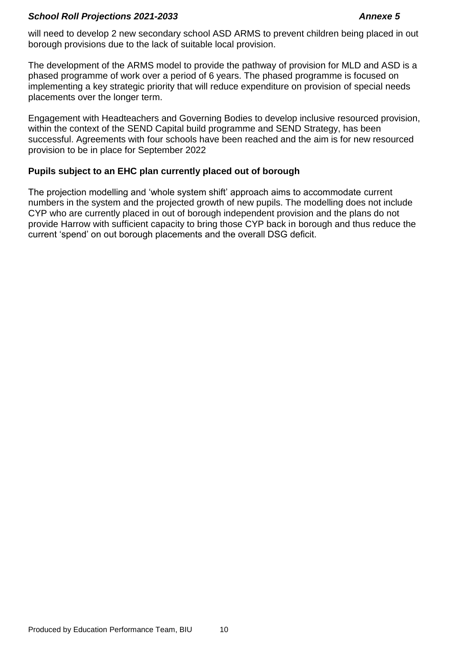will need to develop 2 new secondary school ASD ARMS to prevent children being placed in out borough provisions due to the lack of suitable local provision.

The development of the ARMS model to provide the pathway of provision for MLD and ASD is a phased programme of work over a period of 6 years. The phased programme is focused on implementing a key strategic priority that will reduce expenditure on provision of special needs placements over the longer term.

Engagement with Headteachers and Governing Bodies to develop inclusive resourced provision, within the context of the SEND Capital build programme and SEND Strategy, has been successful. Agreements with four schools have been reached and the aim is for new resourced provision to be in place for September 2022

# **Pupils subject to an EHC plan currently placed out of borough**

The projection modelling and 'whole system shift' approach aims to accommodate current numbers in the system and the projected growth of new pupils. The modelling does not include CYP who are currently placed in out of borough independent provision and the plans do not provide Harrow with sufficient capacity to bring those CYP back in borough and thus reduce the current 'spend' on out borough placements and the overall DSG deficit.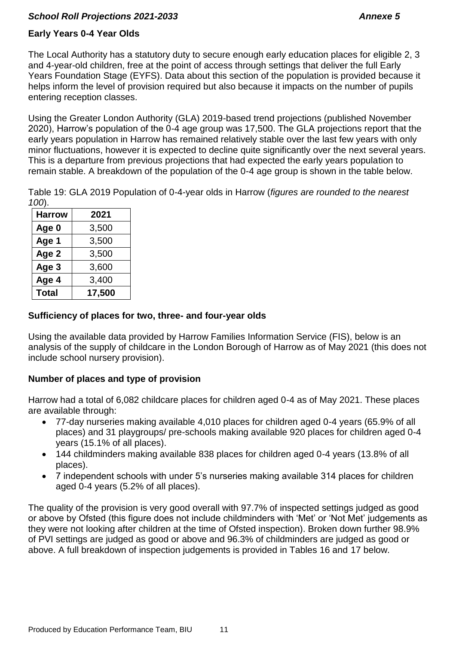# **Early Years 0-4 Year Olds**

The Local Authority has a statutory duty to secure enough early education places for eligible 2, 3 and 4-year-old children, free at the point of access through settings that deliver the full Early Years Foundation Stage (EYFS). Data about this section of the population is provided because it helps inform the level of provision required but also because it impacts on the number of pupils entering reception classes.

Using the Greater London Authority (GLA) 2019-based trend projections (published November 2020), Harrow's population of the 0-4 age group was 17,500. The GLA projections report that the early years population in Harrow has remained relatively stable over the last few years with only minor fluctuations, however it is expected to decline quite significantly over the next several years. This is a departure from previous projections that had expected the early years population to remain stable. A breakdown of the population of the 0-4 age group is shown in the table below.

Table 19: GLA 2019 Population of 0-4-year olds in Harrow (*figures are rounded to the nearest 100*).

| <b>Harrow</b> | 2021   |  |
|---------------|--------|--|
| Age 0         | 3,500  |  |
| Age 1         | 3,500  |  |
| Age 2         | 3,500  |  |
| Age 3         | 3,600  |  |
| Age 4         | 3,400  |  |
| <b>Total</b>  | 17,500 |  |

## **Sufficiency of places for two, three- and four-year olds**

Using the available data provided by Harrow Families Information Service (FIS), below is an analysis of the supply of childcare in the London Borough of Harrow as of May 2021 (this does not include school nursery provision).

# **Number of places and type of provision**

Harrow had a total of 6,082 childcare places for children aged 0-4 as of May 2021. These places are available through:

- 77-day nurseries making available 4,010 places for children aged 0-4 years (65.9% of all places) and 31 playgroups/ pre-schools making available 920 places for children aged 0-4 years (15.1% of all places).
- 144 childminders making available 838 places for children aged 0-4 years (13.8% of all places).
- 7 independent schools with under 5's nurseries making available 314 places for children aged 0-4 years (5.2% of all places).

The quality of the provision is very good overall with 97.7% of inspected settings judged as good or above by Ofsted (this figure does not include childminders with 'Met' or 'Not Met' judgements as they were not looking after children at the time of Ofsted inspection). Broken down further 98.9% of PVI settings are judged as good or above and 96.3% of childminders are judged as good or above. A full breakdown of inspection judgements is provided in Tables 16 and 17 below.